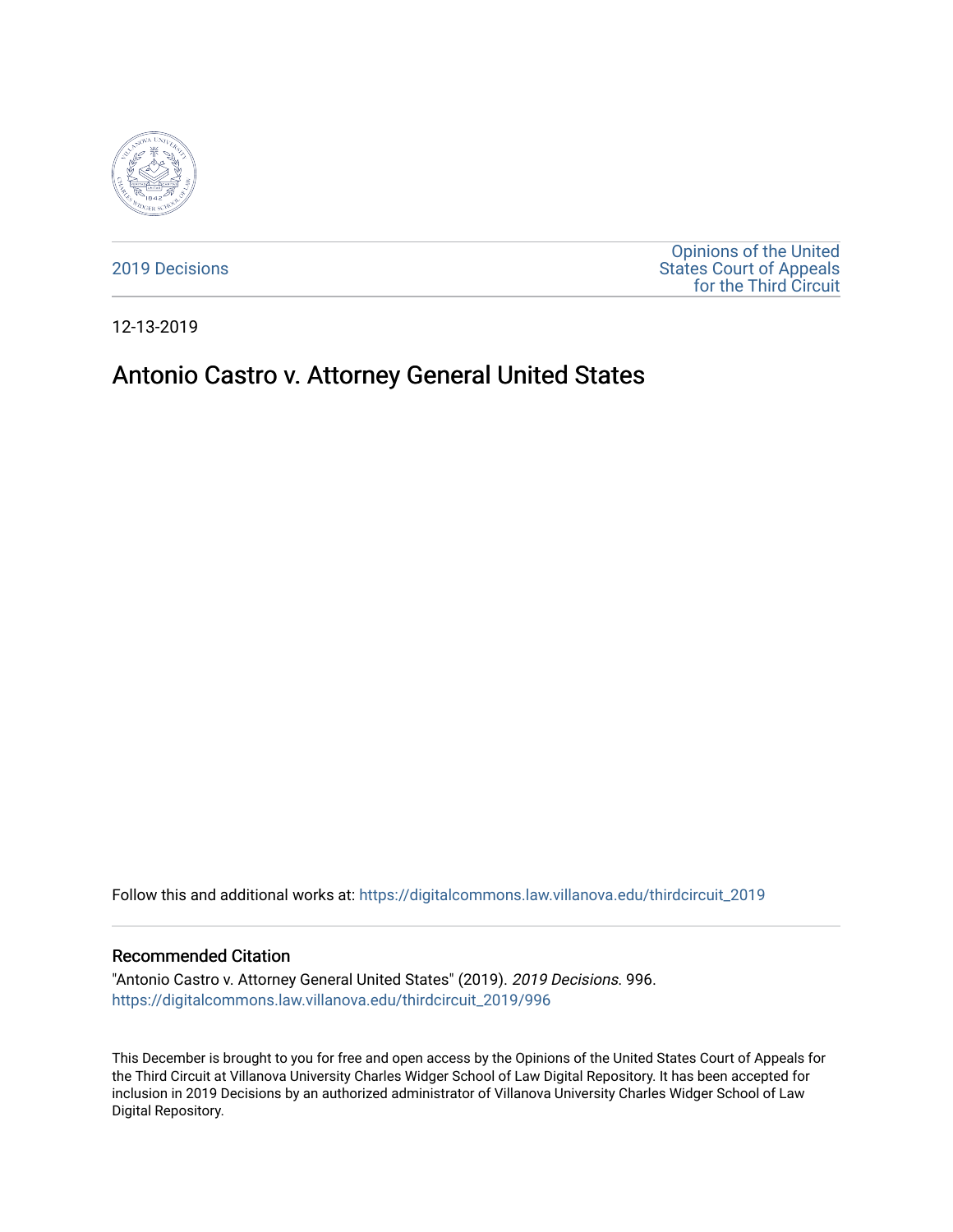

[2019 Decisions](https://digitalcommons.law.villanova.edu/thirdcircuit_2019)

[Opinions of the United](https://digitalcommons.law.villanova.edu/thirdcircuit)  [States Court of Appeals](https://digitalcommons.law.villanova.edu/thirdcircuit)  [for the Third Circuit](https://digitalcommons.law.villanova.edu/thirdcircuit) 

12-13-2019

# Antonio Castro v. Attorney General United States

Follow this and additional works at: [https://digitalcommons.law.villanova.edu/thirdcircuit\\_2019](https://digitalcommons.law.villanova.edu/thirdcircuit_2019?utm_source=digitalcommons.law.villanova.edu%2Fthirdcircuit_2019%2F996&utm_medium=PDF&utm_campaign=PDFCoverPages) 

#### Recommended Citation

"Antonio Castro v. Attorney General United States" (2019). 2019 Decisions. 996. [https://digitalcommons.law.villanova.edu/thirdcircuit\\_2019/996](https://digitalcommons.law.villanova.edu/thirdcircuit_2019/996?utm_source=digitalcommons.law.villanova.edu%2Fthirdcircuit_2019%2F996&utm_medium=PDF&utm_campaign=PDFCoverPages)

This December is brought to you for free and open access by the Opinions of the United States Court of Appeals for the Third Circuit at Villanova University Charles Widger School of Law Digital Repository. It has been accepted for inclusion in 2019 Decisions by an authorized administrator of Villanova University Charles Widger School of Law Digital Repository.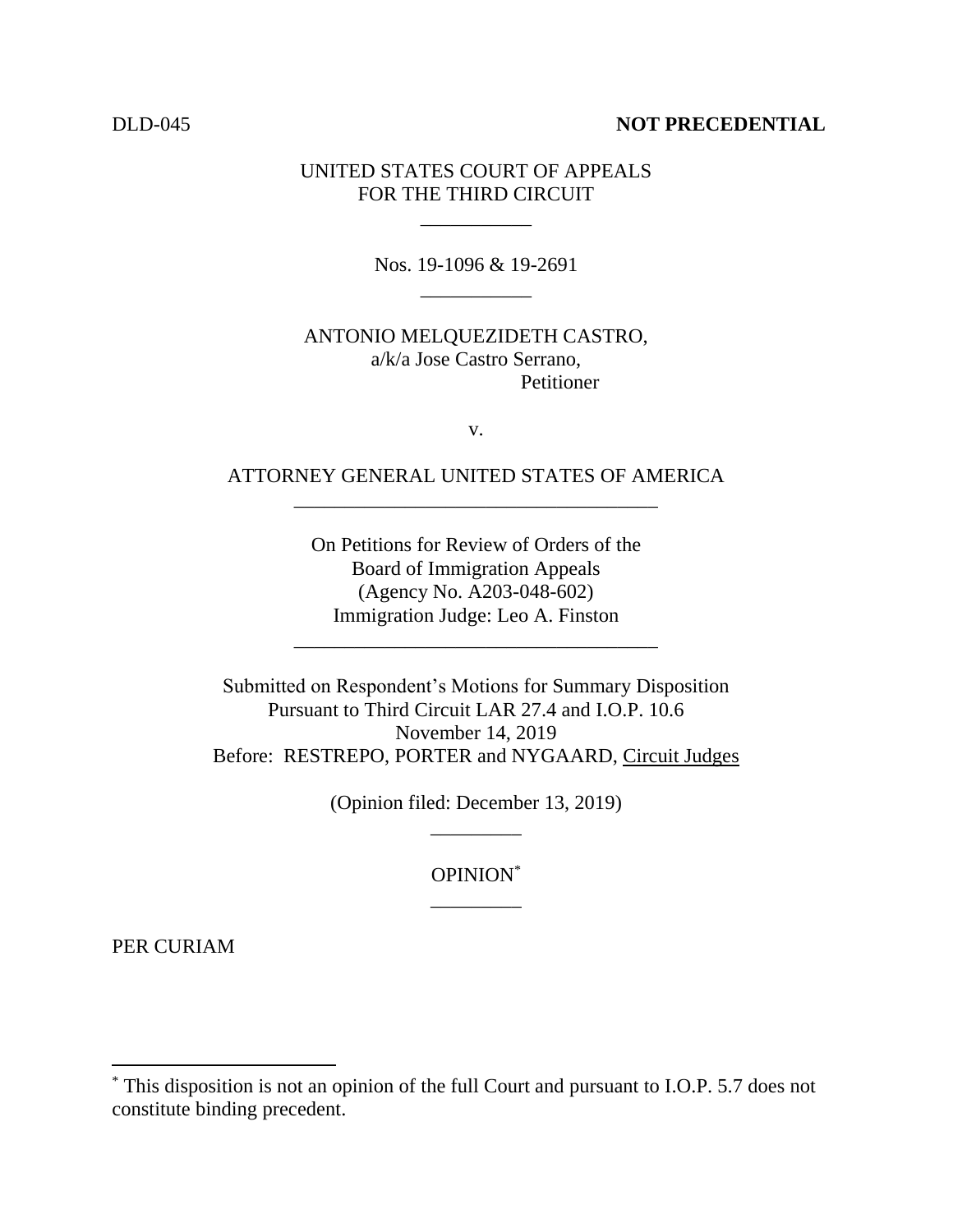### DLD-045 **NOT PRECEDENTIAL**

## UNITED STATES COURT OF APPEALS FOR THE THIRD CIRCUIT

\_\_\_\_\_\_\_\_\_\_\_

Nos. 19-1096 & 19-2691 \_\_\_\_\_\_\_\_\_\_\_

ANTONIO MELQUEZIDETH CASTRO, a/k/a Jose Castro Serrano, **Petitioner** 

v.

# ATTORNEY GENERAL UNITED STATES OF AMERICA \_\_\_\_\_\_\_\_\_\_\_\_\_\_\_\_\_\_\_\_\_\_\_\_\_\_\_\_\_\_\_\_\_\_\_\_

On Petitions for Review of Orders of the Board of Immigration Appeals (Agency No. A203-048-602) Immigration Judge: Leo A. Finston

\_\_\_\_\_\_\_\_\_\_\_\_\_\_\_\_\_\_\_\_\_\_\_\_\_\_\_\_\_\_\_\_\_\_\_\_

Submitted on Respondent's Motions for Summary Disposition Pursuant to Third Circuit LAR 27.4 and I.O.P. 10.6 November 14, 2019 Before: RESTREPO, PORTER and NYGAARD, Circuit Judges

> (Opinion filed: December 13, 2019) \_\_\_\_\_\_\_\_\_

> > OPINION\* \_\_\_\_\_\_\_\_\_

PER CURIAM

 $\overline{\phantom{a}}$ 

<sup>\*</sup> This disposition is not an opinion of the full Court and pursuant to I.O.P. 5.7 does not constitute binding precedent.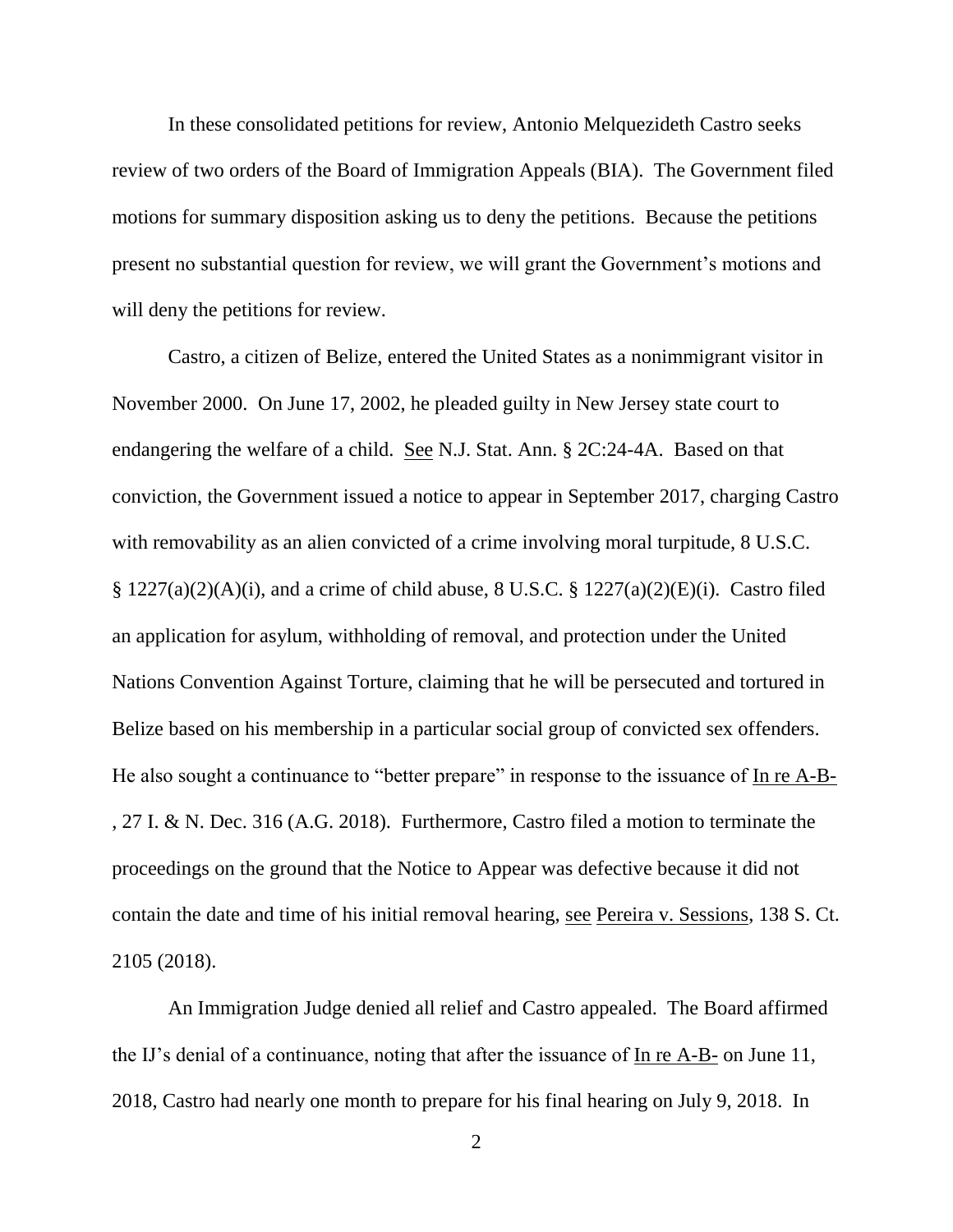In these consolidated petitions for review, Antonio Melquezideth Castro seeks review of two orders of the Board of Immigration Appeals (BIA). The Government filed motions for summary disposition asking us to deny the petitions. Because the petitions present no substantial question for review, we will grant the Government's motions and will deny the petitions for review.

Castro, a citizen of Belize, entered the United States as a nonimmigrant visitor in November 2000. On June 17, 2002, he pleaded guilty in New Jersey state court to endangering the welfare of a child. See N.J. Stat. Ann. § 2C:24-4A. Based on that conviction, the Government issued a notice to appear in September 2017, charging Castro with removability as an alien convicted of a crime involving moral turpitude,  $8$  U.S.C.  $\S 1227(a)(2)(A)(i)$ , and a crime of child abuse, 8 U.S.C.  $\S 1227(a)(2)(E)(i)$ . Castro filed an application for asylum, withholding of removal, and protection under the United Nations Convention Against Torture, claiming that he will be persecuted and tortured in Belize based on his membership in a particular social group of convicted sex offenders. He also sought a continuance to "better prepare" in response to the issuance of In re A-B-, 27 I. & N. Dec. 316 (A.G. 2018). Furthermore, Castro filed a motion to terminate the proceedings on the ground that the Notice to Appear was defective because it did not contain the date and time of his initial removal hearing, see Pereira v. Sessions, 138 S. Ct. 2105 (2018).

An Immigration Judge denied all relief and Castro appealed. The Board affirmed the IJ's denial of a continuance, noting that after the issuance of In re A-B- on June 11, 2018, Castro had nearly one month to prepare for his final hearing on July 9, 2018. In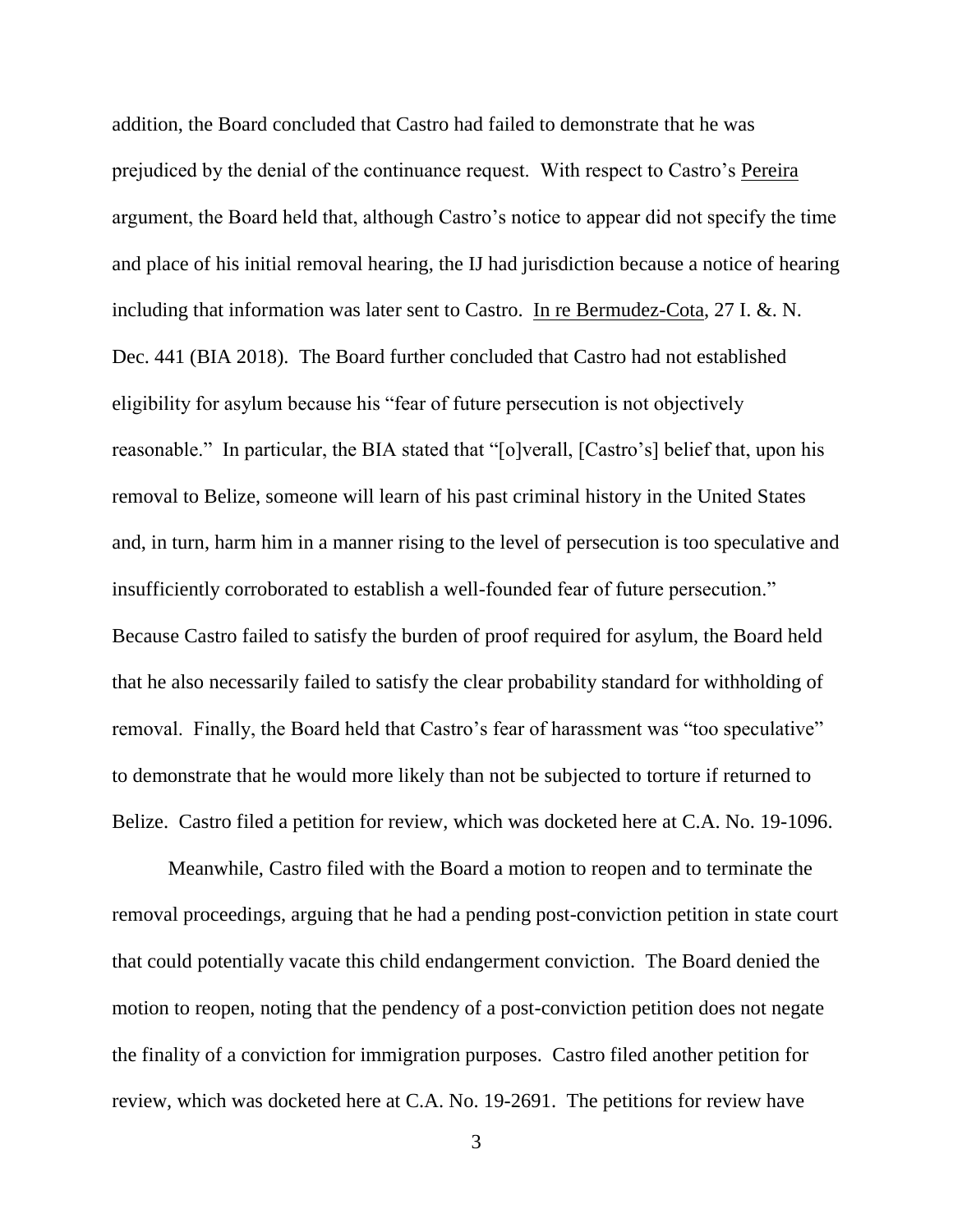addition, the Board concluded that Castro had failed to demonstrate that he was prejudiced by the denial of the continuance request. With respect to Castro's Pereira argument, the Board held that, although Castro's notice to appear did not specify the time and place of his initial removal hearing, the IJ had jurisdiction because a notice of hearing including that information was later sent to Castro. In re Bermudez-Cota, 27 I. &. N. Dec. 441 (BIA 2018). The Board further concluded that Castro had not established eligibility for asylum because his "fear of future persecution is not objectively reasonable." In particular, the BIA stated that "[o]verall, [Castro's] belief that, upon his removal to Belize, someone will learn of his past criminal history in the United States and, in turn, harm him in a manner rising to the level of persecution is too speculative and insufficiently corroborated to establish a well-founded fear of future persecution." Because Castro failed to satisfy the burden of proof required for asylum, the Board held that he also necessarily failed to satisfy the clear probability standard for withholding of removal. Finally, the Board held that Castro's fear of harassment was "too speculative" to demonstrate that he would more likely than not be subjected to torture if returned to Belize. Castro filed a petition for review, which was docketed here at C.A. No. 19-1096.

Meanwhile, Castro filed with the Board a motion to reopen and to terminate the removal proceedings, arguing that he had a pending post-conviction petition in state court that could potentially vacate this child endangerment conviction. The Board denied the motion to reopen, noting that the pendency of a post-conviction petition does not negate the finality of a conviction for immigration purposes. Castro filed another petition for review, which was docketed here at C.A. No. 19-2691. The petitions for review have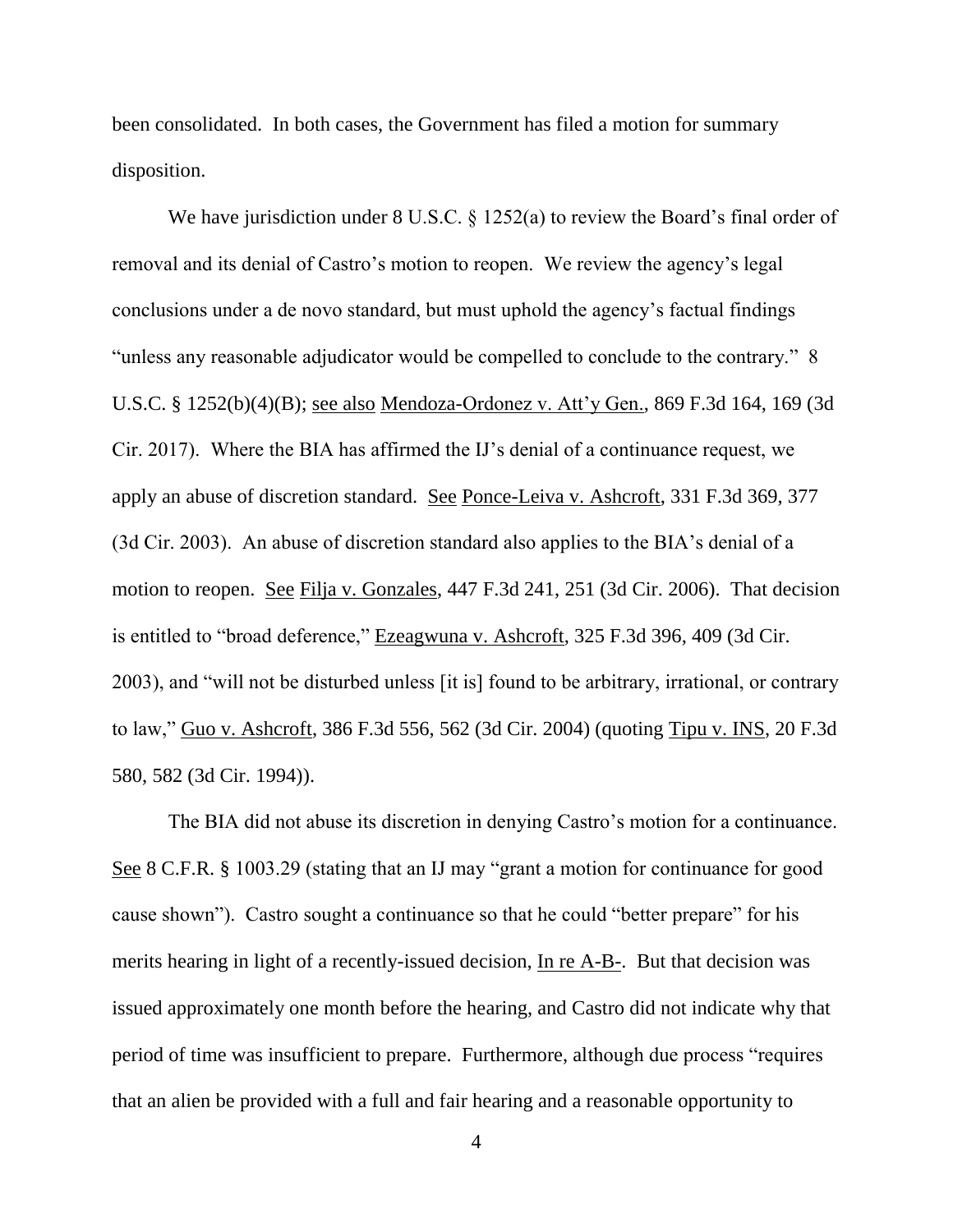been consolidated. In both cases, the Government has filed a motion for summary disposition.

We have jurisdiction under 8 U.S.C. § 1252(a) to review the Board's final order of removal and its denial of Castro's motion to reopen. We review the agency's legal conclusions under a de novo standard, but must uphold the agency's factual findings "unless any reasonable adjudicator would be compelled to conclude to the contrary." 8 U.S.C. § 1252(b)(4)(B); see also Mendoza-Ordonez v. Att'y Gen., 869 F.3d 164, 169 (3d Cir. 2017). Where the BIA has affirmed the IJ's denial of a continuance request, we apply an abuse of discretion standard. See Ponce-Leiva v. Ashcroft, 331 F.3d 369, 377 (3d Cir. 2003). An abuse of discretion standard also applies to the BIA's denial of a motion to reopen. See Filja v. Gonzales, 447 F.3d 241, 251 (3d Cir. 2006). That decision is entitled to "broad deference," Ezeagwuna v. Ashcroft, 325 F.3d 396, 409 (3d Cir. 2003), and "will not be disturbed unless [it is] found to be arbitrary, irrational, or contrary to law," Guo v. Ashcroft, 386 F.3d 556, 562 (3d Cir. 2004) (quoting Tipu v. INS, 20 F.3d 580, 582 (3d Cir. 1994)).

The BIA did not abuse its discretion in denying Castro's motion for a continuance. See 8 C.F.R. § 1003.29 (stating that an IJ may "grant a motion for continuance for good cause shown"). Castro sought a continuance so that he could "better prepare" for his merits hearing in light of a recently-issued decision, In re A-B-. But that decision was issued approximately one month before the hearing, and Castro did not indicate why that period of time was insufficient to prepare. Furthermore, although due process "requires that an alien be provided with a full and fair hearing and a reasonable opportunity to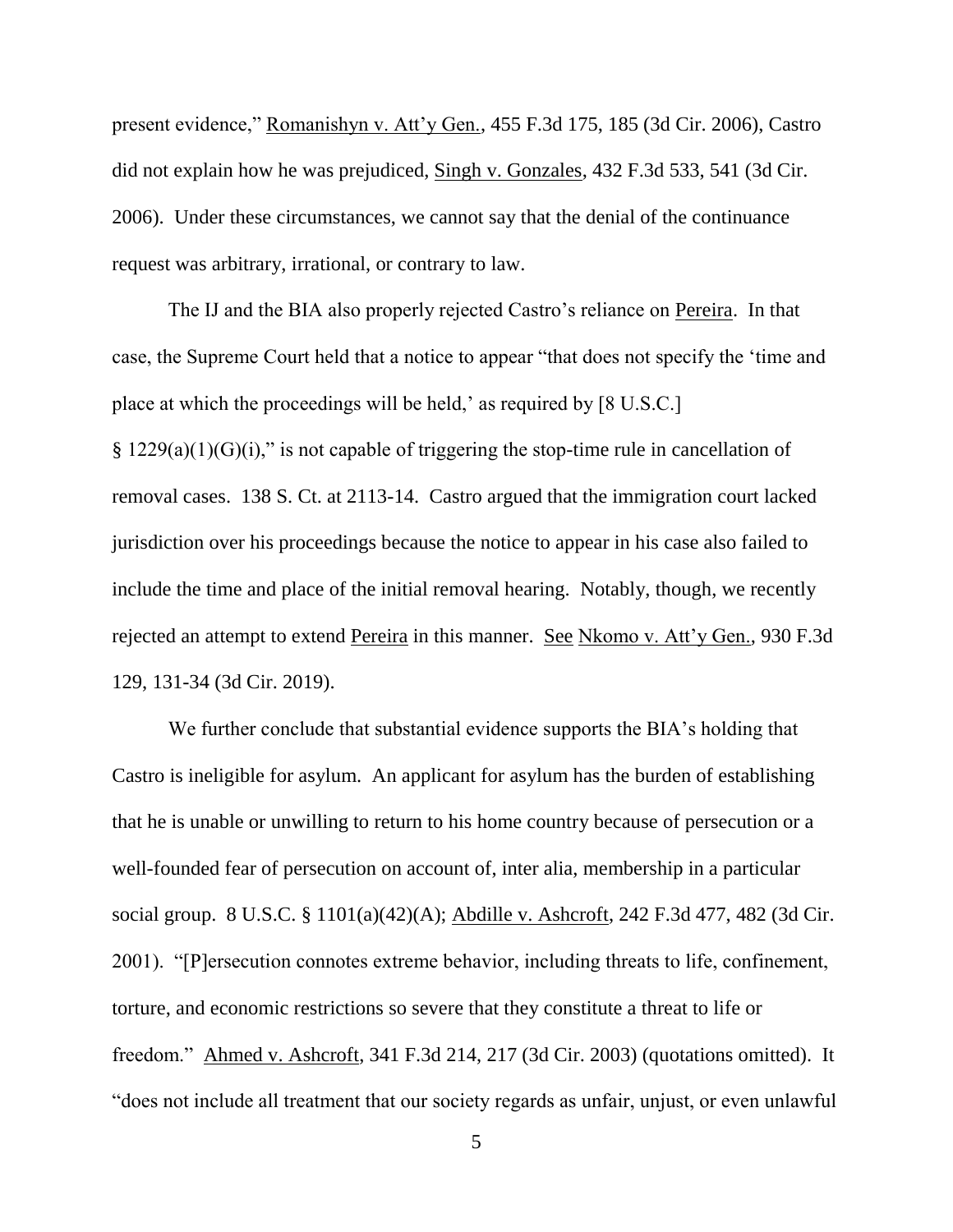present evidence," Romanishyn v. Att'y Gen., 455 F.3d 175, 185 (3d Cir. 2006), Castro did not explain how he was prejudiced, Singh v. Gonzales, 432 F.3d 533, 541 (3d Cir. 2006). Under these circumstances, we cannot say that the denial of the continuance request was arbitrary, irrational, or contrary to law.

The IJ and the BIA also properly rejected Castro's reliance on Pereira. In that case, the Supreme Court held that a notice to appear "that does not specify the 'time and place at which the proceedings will be held,' as required by [8 U.S.C.]  $§ 1229(a)(1)(G)(i)$ ," is not capable of triggering the stop-time rule in cancellation of removal cases. 138 S. Ct. at 2113-14. Castro argued that the immigration court lacked jurisdiction over his proceedings because the notice to appear in his case also failed to include the time and place of the initial removal hearing. Notably, though, we recently rejected an attempt to extend Pereira in this manner. See Nkomo v. Att'y Gen., 930 F.3d 129, 131-34 (3d Cir. 2019).

We further conclude that substantial evidence supports the BIA's holding that Castro is ineligible for asylum. An applicant for asylum has the burden of establishing that he is unable or unwilling to return to his home country because of persecution or a well-founded fear of persecution on account of, inter alia, membership in a particular social group. 8 U.S.C. § 1101(a)(42)(A); Abdille v. Ashcroft, 242 F.3d 477, 482 (3d Cir. 2001). "[P]ersecution connotes extreme behavior, including threats to life, confinement, torture, and economic restrictions so severe that they constitute a threat to life or freedom." Ahmed v. Ashcroft, 341 F.3d 214, 217 (3d Cir. 2003) (quotations omitted). It "does not include all treatment that our society regards as unfair, unjust, or even unlawful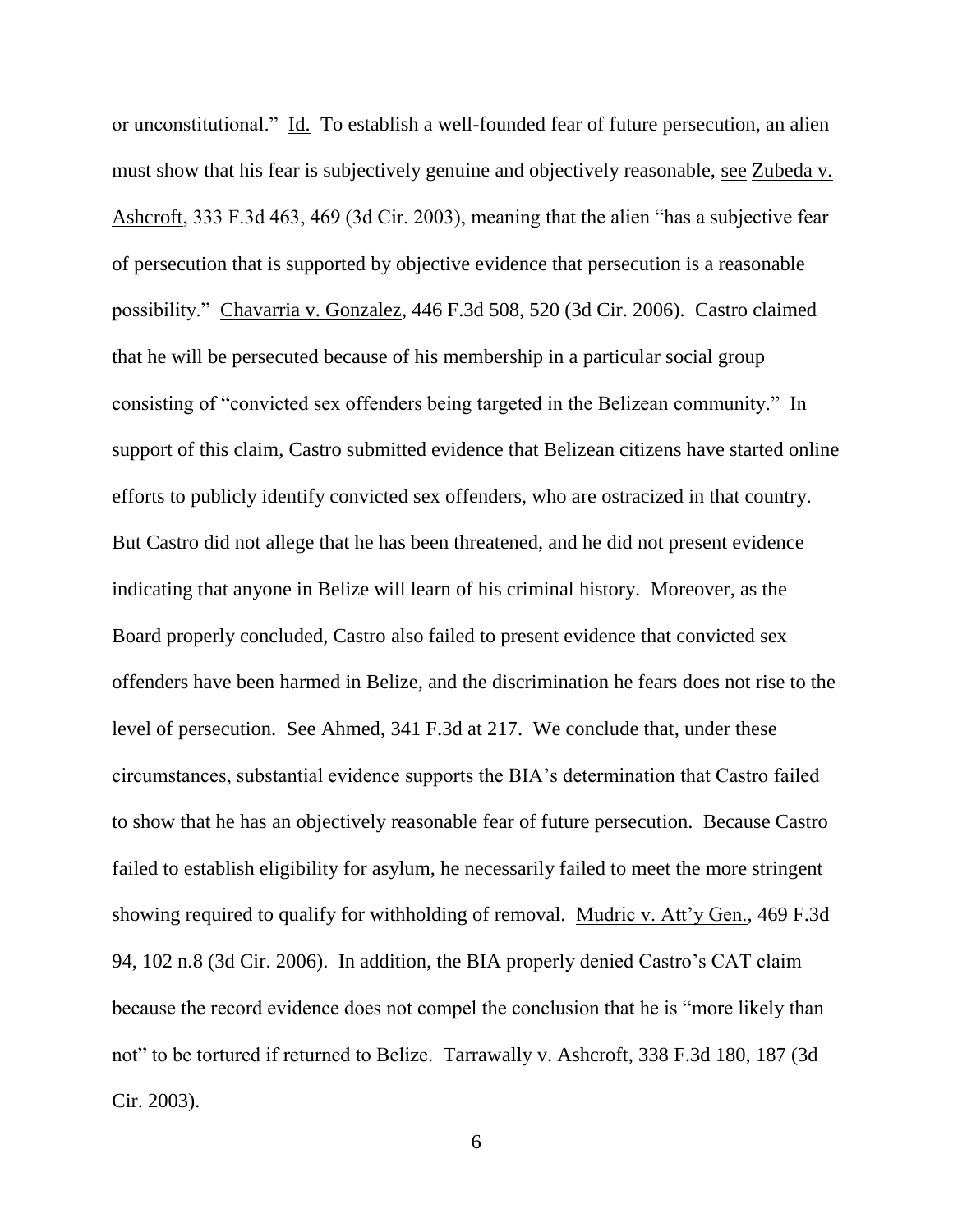or unconstitutional." Id. To establish a well-founded fear of future persecution, an alien must show that his fear is subjectively genuine and objectively reasonable, see Zubeda v. Ashcroft, 333 F.3d 463, 469 (3d Cir. 2003), meaning that the alien "has a subjective fear of persecution that is supported by objective evidence that persecution is a reasonable possibility." Chavarria v. Gonzalez, 446 F.3d 508, 520 (3d Cir. 2006). Castro claimed that he will be persecuted because of his membership in a particular social group consisting of "convicted sex offenders being targeted in the Belizean community." In support of this claim, Castro submitted evidence that Belizean citizens have started online efforts to publicly identify convicted sex offenders, who are ostracized in that country. But Castro did not allege that he has been threatened, and he did not present evidence indicating that anyone in Belize will learn of his criminal history. Moreover, as the Board properly concluded, Castro also failed to present evidence that convicted sex offenders have been harmed in Belize, and the discrimination he fears does not rise to the level of persecution. See Ahmed, 341 F.3d at 217. We conclude that, under these circumstances, substantial evidence supports the BIA's determination that Castro failed to show that he has an objectively reasonable fear of future persecution. Because Castro failed to establish eligibility for asylum, he necessarily failed to meet the more stringent showing required to qualify for withholding of removal. Mudric v. Att'y Gen., 469 F.3d 94, 102 n.8 (3d Cir. 2006). In addition, the BIA properly denied Castro's CAT claim because the record evidence does not compel the conclusion that he is "more likely than not" to be tortured if returned to Belize. Tarrawally v. Ashcroft, 338 F.3d 180, 187 (3d Cir. 2003).